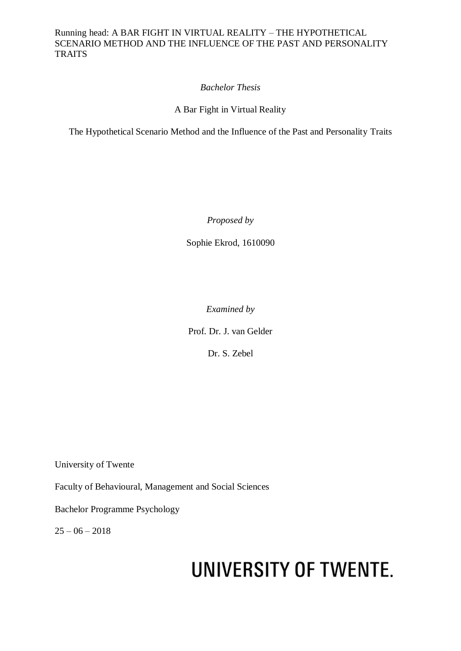### *Bachelor Thesis*

A Bar Fight in Virtual Reality

The Hypothetical Scenario Method and the Influence of the Past and Personality Traits

*Proposed by*

Sophie Ekrod, 1610090

*Examined by*

Prof. Dr. J. van Gelder

Dr. S. Zebel

University of Twente

Faculty of Behavioural, Management and Social Sciences

Bachelor Programme Psychology

 $25 - 06 - 2018$ 

# UNIVERSITY OF TWENTE.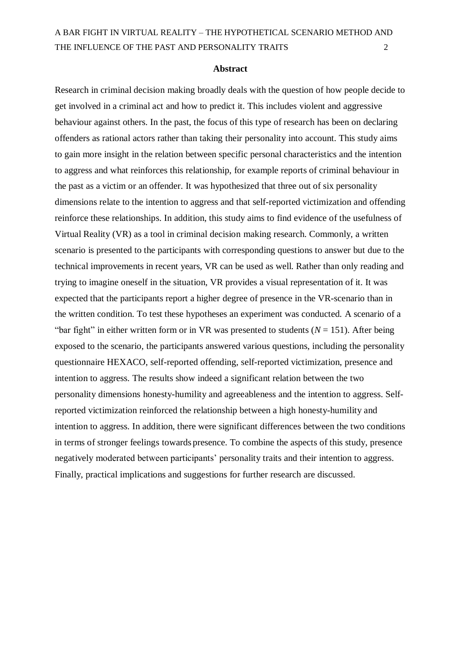#### **Abstract**

Research in criminal decision making broadly deals with the question of how people decide to get involved in a criminal act and how to predict it. This includes violent and aggressive behaviour against others. In the past, the focus of this type of research has been on declaring offenders as rational actors rather than taking their personality into account. This study aims to gain more insight in the relation between specific personal characteristics and the intention to aggress and what reinforces this relationship, for example reports of criminal behaviour in the past as a victim or an offender. It was hypothesized that three out of six personality dimensions relate to the intention to aggress and that self-reported victimization and offending reinforce these relationships. In addition, this study aims to find evidence of the usefulness of Virtual Reality (VR) as a tool in criminal decision making research. Commonly, a written scenario is presented to the participants with corresponding questions to answer but due to the technical improvements in recent years, VR can be used as well. Rather than only reading and trying to imagine oneself in the situation, VR provides a visual representation of it. It was expected that the participants report a higher degree of presence in the VR-scenario than in the written condition. To test these hypotheses an experiment was conducted. A scenario of a "bar fight" in either written form or in VR was presented to students  $(N = 151)$ . After being exposed to the scenario, the participants answered various questions, including the personality questionnaire HEXACO, self-reported offending, self-reported victimization, presence and intention to aggress. The results show indeed a significant relation between the two personality dimensions honesty-humility and agreeableness and the intention to aggress. Selfreported victimization reinforced the relationship between a high honesty-humility and intention to aggress. In addition, there were significant differences between the two conditions in terms of stronger feelings towards presence. To combine the aspects of this study, presence negatively moderated between participants' personality traits and their intention to aggress. Finally, practical implications and suggestions for further research are discussed.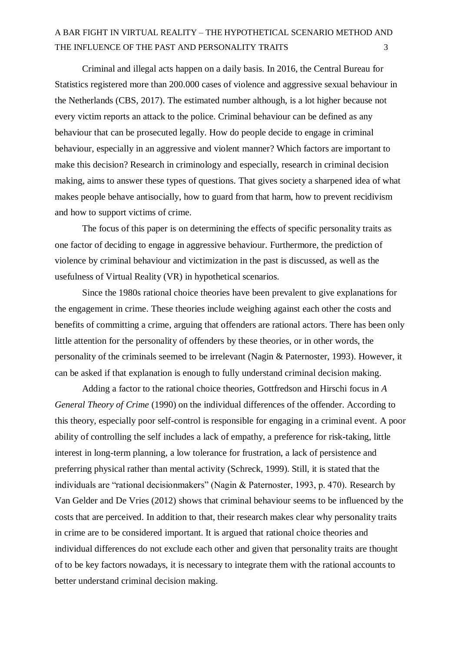Criminal and illegal acts happen on a daily basis. In 2016, the Central Bureau for Statistics registered more than 200.000 cases of violence and aggressive sexual behaviour in the Netherlands (CBS, 2017). The estimated number although, is a lot higher because not every victim reports an attack to the police. Criminal behaviour can be defined as any behaviour that can be prosecuted legally. How do people decide to engage in criminal behaviour, especially in an aggressive and violent manner? Which factors are important to make this decision? Research in criminology and especially, research in criminal decision making, aims to answer these types of questions. That gives society a sharpened idea of what makes people behave antisocially, how to guard from that harm, how to prevent recidivism and how to support victims of crime.

The focus of this paper is on determining the effects of specific personality traits as one factor of deciding to engage in aggressive behaviour. Furthermore, the prediction of violence by criminal behaviour and victimization in the past is discussed, as well as the usefulness of Virtual Reality (VR) in hypothetical scenarios.

Since the 1980s rational choice theories have been prevalent to give explanations for the engagement in crime. These theories include weighing against each other the costs and benefits of committing a crime, arguing that offenders are rational actors. There has been only little attention for the personality of offenders by these theories, or in other words, the personality of the criminals seemed to be irrelevant (Nagin & Paternoster, 1993). However, it can be asked if that explanation is enough to fully understand criminal decision making.

Adding a factor to the rational choice theories, Gottfredson and Hirschi focus in *A General Theory of Crime* (1990) on the individual differences of the offender. According to this theory, especially poor self-control is responsible for engaging in a criminal event. A poor ability of controlling the self includes a lack of empathy, a preference for risk-taking, little interest in long-term planning, a low tolerance for frustration, a lack of persistence and preferring physical rather than mental activity (Schreck, 1999). Still, it is stated that the individuals are "rational decisionmakers" (Nagin & Paternoster, 1993, p. 470). Research by Van Gelder and De Vries (2012) shows that criminal behaviour seems to be influenced by the costs that are perceived. In addition to that, their research makes clear why personality traits in crime are to be considered important. It is argued that rational choice theories and individual differences do not exclude each other and given that personality traits are thought of to be key factors nowadays, it is necessary to integrate them with the rational accounts to better understand criminal decision making.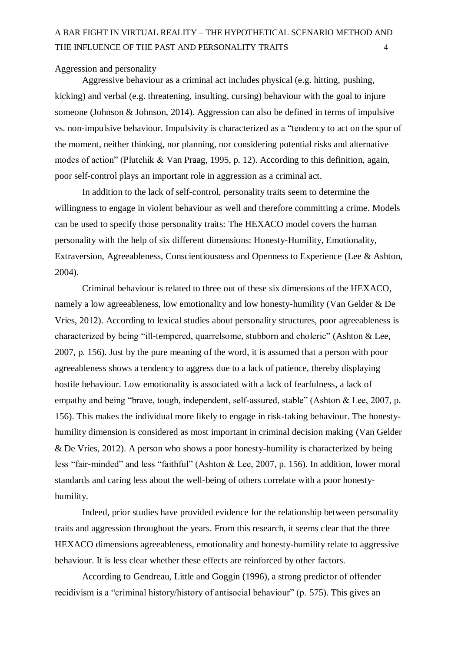#### Aggression and personality

Aggressive behaviour as a criminal act includes physical (e.g. hitting, pushing, kicking) and verbal (e.g. threatening, insulting, cursing) behaviour with the goal to injure someone (Johnson & Johnson, 2014). Aggression can also be defined in terms of impulsive vs. non-impulsive behaviour. Impulsivity is characterized as a "tendency to act on the spur of the moment, neither thinking, nor planning, nor considering potential risks and alternative modes of action" (Plutchik & Van Praag, 1995, p. 12). According to this definition, again, poor self-control plays an important role in aggression as a criminal act.

In addition to the lack of self-control, personality traits seem to determine the willingness to engage in violent behaviour as well and therefore committing a crime. Models can be used to specify those personality traits: The HEXACO model covers the human personality with the help of six different dimensions: Honesty-Humility, Emotionality, Extraversion, Agreeableness, Conscientiousness and Openness to Experience (Lee & Ashton, 2004).

Criminal behaviour is related to three out of these six dimensions of the HEXACO, namely a low agreeableness, low emotionality and low honesty-humility (Van Gelder & De Vries, 2012). According to lexical studies about personality structures, poor agreeableness is characterized by being "ill-tempered, quarrelsome, stubborn and choleric" (Ashton & Lee, 2007, p. 156). Just by the pure meaning of the word, it is assumed that a person with poor agreeableness shows a tendency to aggress due to a lack of patience, thereby displaying hostile behaviour. Low emotionality is associated with a lack of fearfulness, a lack of empathy and being "brave, tough, independent, self-assured, stable" (Ashton & Lee, 2007, p. 156). This makes the individual more likely to engage in risk-taking behaviour. The honestyhumility dimension is considered as most important in criminal decision making (Van Gelder & De Vries, 2012). A person who shows a poor honesty-humility is characterized by being less "fair-minded" and less "faithful" (Ashton & Lee, 2007, p. 156). In addition, lower moral standards and caring less about the well-being of others correlate with a poor honestyhumility.

Indeed, prior studies have provided evidence for the relationship between personality traits and aggression throughout the years. From this research, it seems clear that the three HEXACO dimensions agreeableness, emotionality and honesty-humility relate to aggressive behaviour. It is less clear whether these effects are reinforced by other factors.

According to Gendreau, Little and Goggin (1996), a strong predictor of offender recidivism is a "criminal history/history of antisocial behaviour" (p. 575). This gives an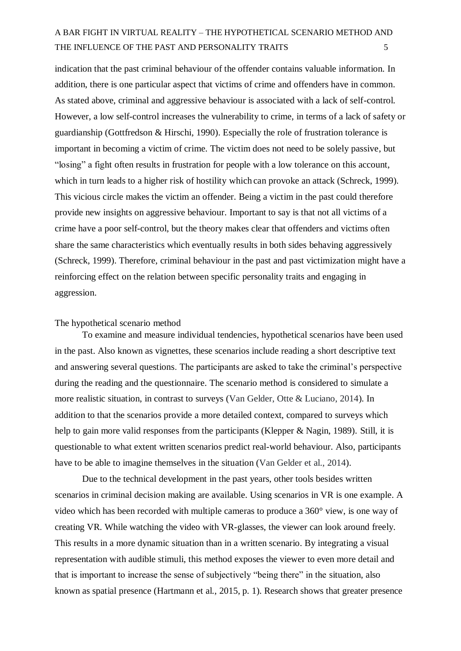indication that the past criminal behaviour of the offender contains valuable information. In addition, there is one particular aspect that victims of crime and offenders have in common. As stated above, criminal and aggressive behaviour is associated with a lack of self-control. However, a low self-control increases the vulnerability to crime, in terms of a lack of safety or guardianship (Gottfredson & Hirschi, 1990). Especially the role of frustration tolerance is important in becoming a victim of crime. The victim does not need to be solely passive, but "losing" a fight often results in frustration for people with a low tolerance on this account, which in turn leads to a higher risk of hostility which can provoke an attack (Schreck, 1999). This vicious circle makes the victim an offender. Being a victim in the past could therefore provide new insights on aggressive behaviour. Important to say is that not all victims of a crime have a poor self-control, but the theory makes clear that offenders and victims often share the same characteristics which eventually results in both sides behaving aggressively (Schreck, 1999). Therefore, criminal behaviour in the past and past victimization might have a reinforcing effect on the relation between specific personality traits and engaging in aggression.

#### The hypothetical scenario method

To examine and measure individual tendencies, hypothetical scenarios have been used in the past. Also known as vignettes, these scenarios include reading a short descriptive text and answering several questions. The participants are asked to take the criminal's perspective during the reading and the questionnaire. The scenario method is considered to simulate a more realistic situation, in contrast to surveys (Van Gelder, Otte & Luciano, 2014). In addition to that the scenarios provide a more detailed context, compared to surveys which help to gain more valid responses from the participants (Klepper & Nagin, 1989). Still, it is questionable to what extent written scenarios predict real-world behaviour. Also, participants have to be able to imagine themselves in the situation (Van Gelder et al., 2014).

Due to the technical development in the past years, other tools besides written scenarios in criminal decision making are available. Using scenarios in VR is one example. A video which has been recorded with multiple cameras to produce a 360° view, is one way of creating VR. While watching the video with VR-glasses, the viewer can look around freely. This results in a more dynamic situation than in a written scenario. By integrating a visual representation with audible stimuli, this method exposes the viewer to even more detail and that is important to increase the sense of subjectively "being there" in the situation, also known as spatial presence (Hartmann et al., 2015, p. 1). Research shows that greater presence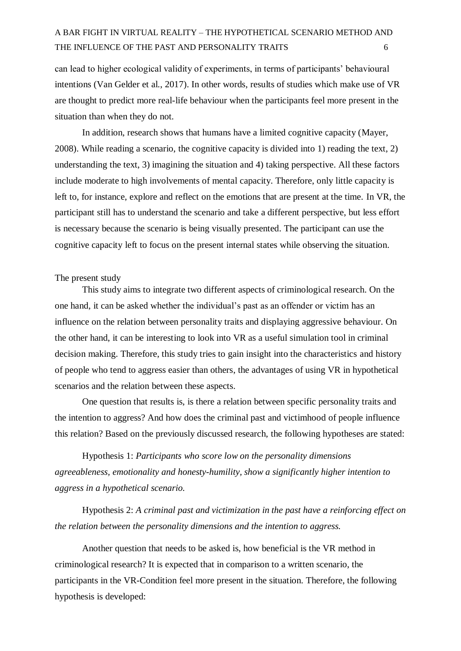can lead to higher ecological validity of experiments, in terms of participants' behavioural intentions (Van Gelder et al., 2017). In other words, results of studies which make use of VR are thought to predict more real-life behaviour when the participants feel more present in the situation than when they do not.

In addition, research shows that humans have a limited cognitive capacity (Mayer, 2008). While reading a scenario, the cognitive capacity is divided into 1) reading the text, 2) understanding the text, 3) imagining the situation and 4) taking perspective. All these factors include moderate to high involvements of mental capacity. Therefore, only little capacity is left to, for instance, explore and reflect on the emotions that are present at the time. In VR, the participant still has to understand the scenario and take a different perspective, but less effort is necessary because the scenario is being visually presented. The participant can use the cognitive capacity left to focus on the present internal states while observing the situation.

#### The present study

This study aims to integrate two different aspects of criminological research. On the one hand, it can be asked whether the individual's past as an offender or victim has an influence on the relation between personality traits and displaying aggressive behaviour. On the other hand, it can be interesting to look into VR as a useful simulation tool in criminal decision making. Therefore, this study tries to gain insight into the characteristics and history of people who tend to aggress easier than others, the advantages of using VR in hypothetical scenarios and the relation between these aspects.

One question that results is, is there a relation between specific personality traits and the intention to aggress? And how does the criminal past and victimhood of people influence this relation? Based on the previously discussed research, the following hypotheses are stated:

Hypothesis 1: *Participants who score low on the personality dimensions agreeableness, emotionality and honesty-humility, show a significantly higher intention to aggress in a hypothetical scenario.*

Hypothesis 2: *A criminal past and victimization in the past have a reinforcing effect on the relation between the personality dimensions and the intention to aggress.*

Another question that needs to be asked is, how beneficial is the VR method in criminological research? It is expected that in comparison to a written scenario, the participants in the VR-Condition feel more present in the situation. Therefore, the following hypothesis is developed: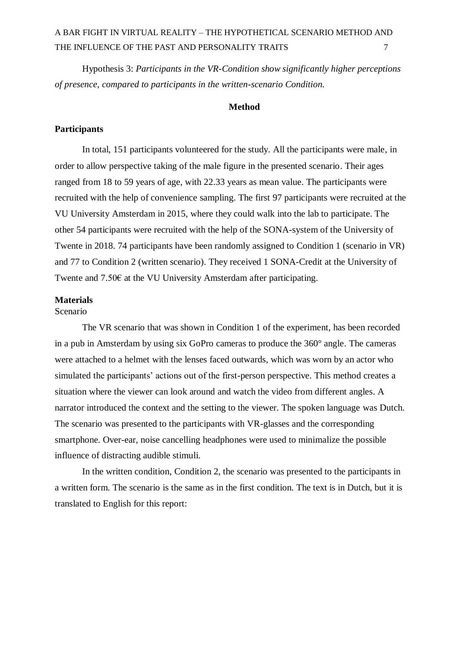Hypothesis 3: *Participants in the VR-Condition show significantly higher perceptions of presence, compared to participants in the written-scenario Condition.*

### **Method**

#### **Participants**

In total, 151 participants volunteered for the study. All the participants were male, in order to allow perspective taking of the male figure in the presented scenario. Their ages ranged from 18 to 59 years of age, with 22.33 years as mean value. The participants were recruited with the help of convenience sampling. The first 97 participants were recruited at the VU University Amsterdam in 2015, where they could walk into the lab to participate. The other 54 participants were recruited with the help of the SONA-system of the University of Twente in 2018. 74 participants have been randomly assigned to Condition 1 (scenario in VR) and 77 to Condition 2 (written scenario). They received 1 SONA-Credit at the University of Twente and 7.50€ at the VU University Amsterdam after participating.

### **Materials**

Scenario

The VR scenario that was shown in Condition 1 of the experiment, has been recorded in a pub in Amsterdam by using six GoPro cameras to produce the 360° angle. The cameras were attached to a helmet with the lenses faced outwards, which was worn by an actor who simulated the participants' actions out of the first-person perspective. This method creates a situation where the viewer can look around and watch the video from different angles. A narrator introduced the context and the setting to the viewer. The spoken language was Dutch. The scenario was presented to the participants with VR-glasses and the corresponding smartphone. Over-ear, noise cancelling headphones were used to minimalize the possible influence of distracting audible stimuli.

In the written condition, Condition 2, the scenario was presented to the participants in a written form. The scenario is the same as in the first condition. The text is in Dutch, but it is translated to English for this report: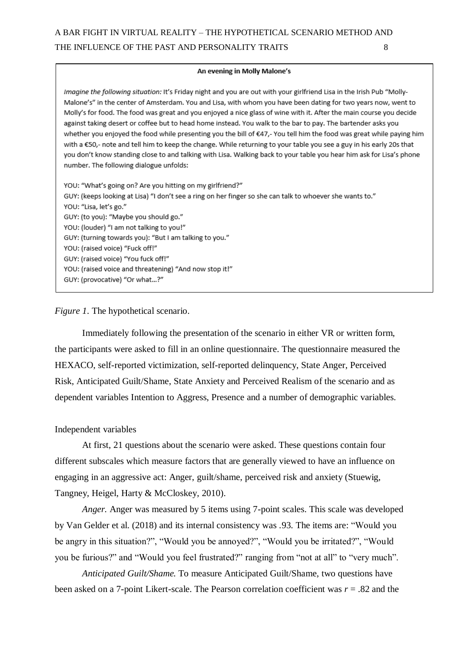#### An evening in Molly Malone's

Imagine the following situation: It's Friday night and you are out with your girlfriend Lisa in the Irish Pub "Molly-Malone's" in the center of Amsterdam. You and Lisa, with whom you have been dating for two years now, went to Molly's for food. The food was great and you enjoyed a nice glass of wine with it. After the main course you decide against taking desert or coffee but to head home instead. You walk to the bar to pay. The bartender asks you whether you enjoyed the food while presenting you the bill of €47,-You tell him the food was great while paying him with a €50,- note and tell him to keep the change. While returning to your table you see a guy in his early 20s that you don't know standing close to and talking with Lisa. Walking back to your table you hear him ask for Lisa's phone number. The following dialogue unfolds:

YOU: "What's going on? Are you hitting on my girlfriend?" GUY: (keeps looking at Lisa) "I don't see a ring on her finger so she can talk to whoever she wants to." YOU: "Lisa, let's go." GUY: (to you): "Maybe you should go." YOU: (louder) "I am not talking to you!" GUY: (turning towards you): "But I am talking to you." YOU: (raised voice) "Fuck off!" GUY: (raised voice) "You fuck off!" YOU: (raised voice and threatening) "And now stop it!" GUY: (provocative) "Or what...?"

### *Figure 1*. The hypothetical scenario.

Immediately following the presentation of the scenario in either VR or written form, the participants were asked to fill in an online questionnaire. The questionnaire measured the HEXACO, self-reported victimization, self-reported delinquency, State Anger, Perceived Risk, Anticipated Guilt/Shame, State Anxiety and Perceived Realism of the scenario and as dependent variables Intention to Aggress, Presence and a number of demographic variables.

#### Independent variables

At first, 21 questions about the scenario were asked. These questions contain four different subscales which measure factors that are generally viewed to have an influence on engaging in an aggressive act: Anger, guilt/shame, perceived risk and anxiety (Stuewig, Tangney, Heigel, Harty & McCloskey, 2010).

*Anger.* Anger was measured by 5 items using 7-point scales. This scale was developed by Van Gelder et al. (2018) and its internal consistency was .93*.* The items are: "Would you be angry in this situation?", "Would you be annoyed?", "Would you be irritated?", "Would you be furious?" and "Would you feel frustrated?" ranging from "not at all" to "very much".

*Anticipated Guilt/Shame.* To measure Anticipated Guilt/Shame, two questions have been asked on a 7-point Likert-scale. The Pearson correlation coefficient was *r* = .82 and the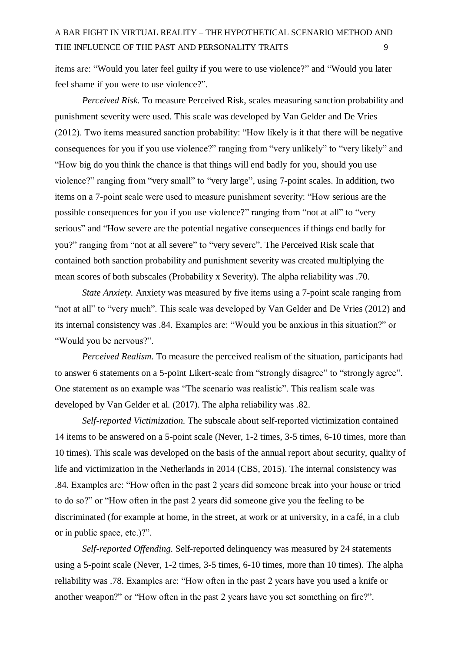items are: "Would you later feel guilty if you were to use violence?" and "Would you later feel shame if you were to use violence?".

*Perceived Risk.* To measure Perceived Risk, scales measuring sanction probability and punishment severity were used. This scale was developed by Van Gelder and De Vries (2012). Two items measured sanction probability: "How likely is it that there will be negative consequences for you if you use violence?" ranging from "very unlikely" to "very likely" and "How big do you think the chance is that things will end badly for you, should you use violence?" ranging from "very small" to "very large", using 7-point scales. In addition, two items on a 7-point scale were used to measure punishment severity: "How serious are the possible consequences for you if you use violence?" ranging from "not at all" to "very serious" and "How severe are the potential negative consequences if things end badly for you?" ranging from "not at all severe" to "very severe". The Perceived Risk scale that contained both sanction probability and punishment severity was created multiplying the mean scores of both subscales (Probability x Severity). The alpha reliability was .70.

*State Anxiety.* Anxiety was measured by five items using a 7-point scale ranging from "not at all" to "very much". This scale was developed by Van Gelder and De Vries (2012) and its internal consistency was .84. Examples are: "Would you be anxious in this situation?" or "Would you be nervous?".

*Perceived Realism*. To measure the perceived realism of the situation, participants had to answer 6 statements on a 5-point Likert-scale from "strongly disagree" to "strongly agree". One statement as an example was "The scenario was realistic". This realism scale was developed by Van Gelder et al. (2017). The alpha reliability was .82.

*Self-reported Victimization.* The subscale about self-reported victimization contained 14 items to be answered on a 5-point scale (Never, 1-2 times, 3-5 times, 6-10 times, more than 10 times). This scale was developed on the basis of the annual report about security, quality of life and victimization in the Netherlands in 2014 (CBS, 2015). The internal consistency was .84. Examples are: "How often in the past 2 years did someone break into your house or tried to do so?" or "How often in the past 2 years did someone give you the feeling to be discriminated (for example at home, in the street, at work or at university, in a café, in a club or in public space, etc.)?".

*Self-reported Offending.* Self-reported delinquency was measured by 24 statements using a 5-point scale (Never, 1-2 times, 3-5 times, 6-10 times, more than 10 times). The alpha reliability was .78. Examples are: "How often in the past 2 years have you used a knife or another weapon?" or "How often in the past 2 years have you set something on fire?".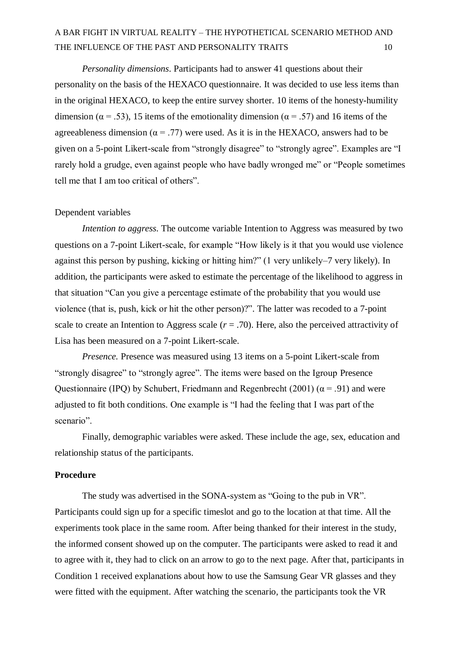*Personality dimensions*. Participants had to answer 41 questions about their personality on the basis of the HEXACO questionnaire. It was decided to use less items than in the original HEXACO, to keep the entire survey shorter. 10 items of the honesty-humility dimension ( $\alpha = .53$ ), 15 items of the emotionality dimension ( $\alpha = .57$ ) and 16 items of the agreeableness dimension ( $\alpha = .77$ ) were used. As it is in the HEXACO, answers had to be given on a 5-point Likert-scale from "strongly disagree" to "strongly agree". Examples are "I rarely hold a grudge, even against people who have badly wronged me" or "People sometimes tell me that I am too critical of others".

#### Dependent variables

*Intention to aggress*. The outcome variable Intention to Aggress was measured by two questions on a 7-point Likert-scale, for example "How likely is it that you would use violence against this person by pushing, kicking or hitting him?" (1 very unlikely–7 very likely). In addition, the participants were asked to estimate the percentage of the likelihood to aggress in that situation "Can you give a percentage estimate of the probability that you would use violence (that is, push, kick or hit the other person)?". The latter was recoded to a 7-point scale to create an Intention to Aggress scale  $(r = .70)$ . Here, also the perceived attractivity of Lisa has been measured on a 7-point Likert-scale.

*Presence.* Presence was measured using 13 items on a 5-point Likert-scale from "strongly disagree" to "strongly agree". The items were based on the Igroup Presence Questionnaire (IPQ) by Schubert, Friedmann and Regenbrecht (2001) ( $\alpha$  = .91) and were adjusted to fit both conditions. One example is "I had the feeling that I was part of the scenario".

Finally, demographic variables were asked. These include the age, sex, education and relationship status of the participants.

### **Procedure**

The study was advertised in the SONA-system as "Going to the pub in VR". Participants could sign up for a specific timeslot and go to the location at that time. All the experiments took place in the same room. After being thanked for their interest in the study, the informed consent showed up on the computer. The participants were asked to read it and to agree with it, they had to click on an arrow to go to the next page. After that, participants in Condition 1 received explanations about how to use the Samsung Gear VR glasses and they were fitted with the equipment. After watching the scenario, the participants took the VR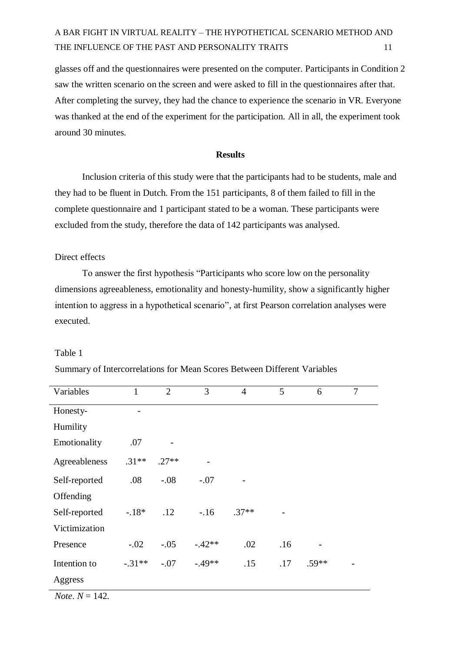glasses off and the questionnaires were presented on the computer. Participants in Condition 2 saw the written scenario on the screen and were asked to fill in the questionnaires after that. After completing the survey, they had the chance to experience the scenario in VR. Everyone was thanked at the end of the experiment for the participation. All in all, the experiment took around 30 minutes.

#### **Results**

Inclusion criteria of this study were that the participants had to be students, male and they had to be fluent in Dutch. From the 151 participants, 8 of them failed to fill in the complete questionnaire and 1 participant stated to be a woman. These participants were excluded from the study, therefore the data of 142 participants was analysed.

#### Direct effects

To answer the first hypothesis "Participants who score low on the personality dimensions agreeableness, emotionality and honesty-humility, show a significantly higher intention to aggress in a hypothetical scenario", at first Pearson correlation analyses were executed.

#### Table 1

| Variables     | $\mathbf{1}$ | $\overline{2}$ | 3        | $\overline{4}$ | 5   | 6       | $\overline{7}$ |
|---------------|--------------|----------------|----------|----------------|-----|---------|----------------|
| Honesty-      |              |                |          |                |     |         |                |
| Humility      |              |                |          |                |     |         |                |
| Emotionality  | .07          |                |          |                |     |         |                |
| Agreeableness | $.31**$      | $.27**$        |          |                |     |         |                |
| Self-reported | .08          | $-.08$         | $-.07$   |                |     |         |                |
| Offending     |              |                |          |                |     |         |                |
| Self-reported | $-.18*$      | .12            | $-.16$   | $.37**$        |     |         |                |
| Victimization |              |                |          |                |     |         |                |
| Presence      | $-.02$       | $-.05$         | $-.42**$ | .02            | .16 |         |                |
| Intention to  | $-.31**$     | $-.07$         | $-.49**$ | .15            | .17 | $.59**$ |                |
| Aggress       |              |                |          |                |     |         |                |

Summary of Intercorrelations for Mean Scores Between Different Variables

*Note*.  $N = 142$ .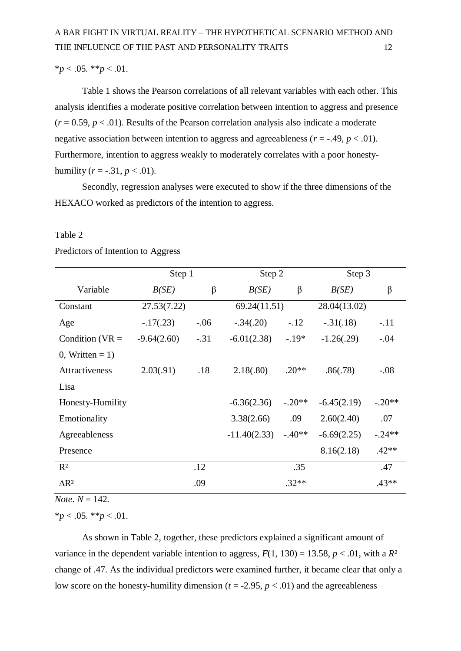$**p* < .05.$   $**p* < .01.$ 

Table 1 shows the Pearson correlations of all relevant variables with each other. This analysis identifies a moderate positive correlation between intention to aggress and presence  $(r = 0.59, p < .01)$ . Results of the Pearson correlation analysis also indicate a moderate negative association between intention to aggress and agreeableness ( $r = -0.49$ ,  $p < 0.01$ ). Furthermore, intention to aggress weakly to moderately correlates with a poor honestyhumility ( $r = -.31, p < .01$ ).

Secondly, regression analyses were executed to show if the three dimensions of the HEXACO worked as predictors of the intention to aggress.

### Table 2

|                         | Step 1        |        | Step 2         |          | Step 3        |          |
|-------------------------|---------------|--------|----------------|----------|---------------|----------|
| Variable                | B(SE)         | β      | B(SE)          | $\beta$  | B(SE)         | β        |
| Constant                | 27.53(7.22)   |        | 69.24(11.51)   |          | 28.04(13.02)  |          |
| Age                     | $-.17(.23)$   | $-.06$ | $-.34(.20)$    | $-.12$   | $-.31(.18)$   | $-.11$   |
| Condition ( $VR =$      | $-9.64(2.60)$ | $-.31$ | $-6.01(2.38)$  | $-.19*$  | $-1.26(.29)$  | $-.04$   |
| $0$ , Written = 1)      |               |        |                |          |               |          |
| Attractiveness          | 2.03(.91)     | .18    | 2.18(.80)      | $.20**$  | .86(.78)      | $-.08$   |
| Lisa                    |               |        |                |          |               |          |
| Honesty-Humility        |               |        | $-6.36(2.36)$  | $-.20**$ | $-6.45(2.19)$ | $-.20**$ |
| Emotionality            |               |        | 3.38(2.66)     | .09      | 2.60(2.40)    | .07      |
| Agreeableness           |               |        | $-11.40(2.33)$ | $-.40**$ | $-6.69(2.25)$ | $-.24**$ |
| Presence                |               |        |                |          | 8.16(2.18)    | $.42**$  |
| $R^2$                   |               | .12    |                | .35      |               | .47      |
| $\Delta$ R <sup>2</sup> |               | .09    |                | $.32**$  |               | $.43**$  |

### Predictors of Intention to Aggress

 $$ 

\**p* < .05. \*\**p* < .01.

As shown in Table 2, together, these predictors explained a significant amount of variance in the dependent variable intention to aggress,  $F(1, 130) = 13.58$ ,  $p < .01$ , with a  $R^2$ change of .47. As the individual predictors were examined further, it became clear that only a low score on the honesty-humility dimension ( $t = -2.95$ ,  $p < .01$ ) and the agreeableness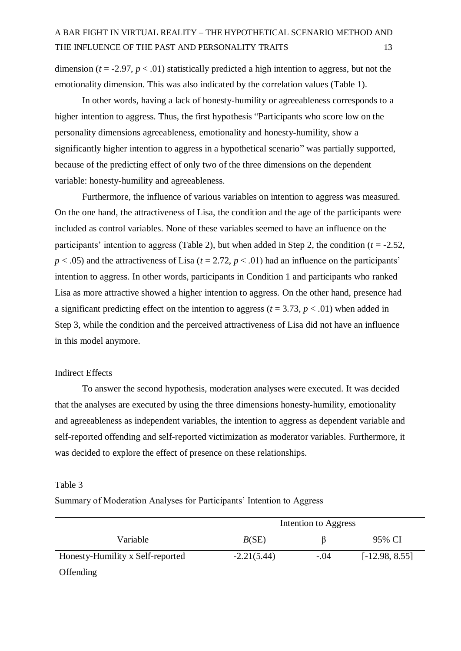dimension ( $t = -2.97$ ,  $p < .01$ ) statistically predicted a high intention to aggress, but not the emotionality dimension. This was also indicated by the correlation values (Table 1).

In other words, having a lack of honesty-humility or agreeableness corresponds to a higher intention to aggress. Thus, the first hypothesis "Participants who score low on the personality dimensions agreeableness, emotionality and honesty-humility, show a significantly higher intention to aggress in a hypothetical scenario" was partially supported, because of the predicting effect of only two of the three dimensions on the dependent variable: honesty-humility and agreeableness.

Furthermore, the influence of various variables on intention to aggress was measured. On the one hand, the attractiveness of Lisa, the condition and the age of the participants were included as control variables. None of these variables seemed to have an influence on the participants' intention to aggress (Table 2), but when added in Step 2, the condition  $(t = -2.52$ ,  $p < .05$ ) and the attractiveness of Lisa ( $t = 2.72$ ,  $p < .01$ ) had an influence on the participants' intention to aggress. In other words, participants in Condition 1 and participants who ranked Lisa as more attractive showed a higher intention to aggress. On the other hand, presence had a significant predicting effect on the intention to aggress ( $t = 3.73$ ,  $p < .01$ ) when added in Step 3, while the condition and the perceived attractiveness of Lisa did not have an influence in this model anymore.

### Indirect Effects

To answer the second hypothesis, moderation analyses were executed. It was decided that the analyses are executed by using the three dimensions honesty-humility, emotionality and agreeableness as independent variables, the intention to aggress as dependent variable and self-reported offending and self-reported victimization as moderator variables. Furthermore, it was decided to explore the effect of presence on these relationships.

#### Table 3

Summary of Moderation Analyses for Participants' Intention to Aggress

|                                  | Intention to Aggress |        |                  |  |
|----------------------------------|----------------------|--------|------------------|--|
| Variable                         | B(SE)                |        | 95% CI           |  |
| Honesty-Humility x Self-reported | $-2.21(5.44)$        | $-.04$ | $[-12.98, 8.55]$ |  |
| Offending                        |                      |        |                  |  |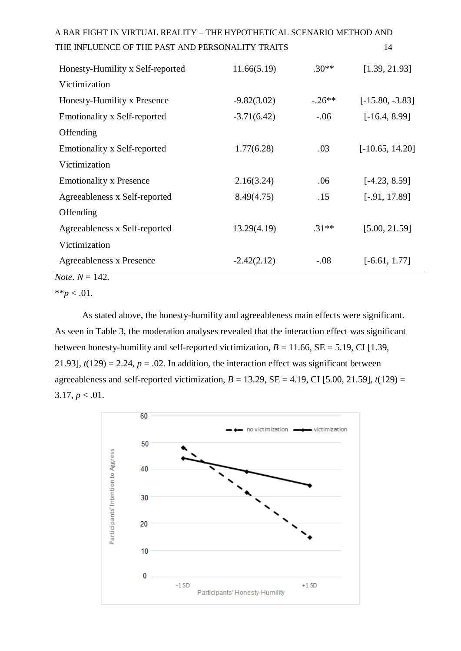| Honesty-Humility x Self-reported    | 11.66(5.19)   | $.30**$  | [1.39, 21.93]     |
|-------------------------------------|---------------|----------|-------------------|
| Victimization                       |               |          |                   |
| Honesty-Humility x Presence         | $-9.82(3.02)$ | $-.26**$ | $[-15.80, -3.83]$ |
| <b>Emotionality x Self-reported</b> | $-3.71(6.42)$ | $-.06$   | $[-16.4, 8.99]$   |
| Offending                           |               |          |                   |
| <b>Emotionality x Self-reported</b> | 1.77(6.28)    | .03      | $[-10.65, 14.20]$ |
| Victimization                       |               |          |                   |
| <b>Emotionality x Presence</b>      | 2.16(3.24)    | .06      | $[-4.23, 8.59]$   |
| Agreeableness x Self-reported       | 8.49(4.75)    | .15      | $[-.91, 17.89]$   |
| Offending                           |               |          |                   |
| Agreeableness x Self-reported       | 13.29(4.19)   | $.31**$  | [5.00, 21.59]     |
| Victimization                       |               |          |                   |
| Agreeableness x Presence            | $-2.42(2.12)$ | $-.08$   | $[-6.61, 1.77]$   |
| <i>Note</i> . $N = 142$ .           |               |          |                   |

 $*^*p < .01$ .

As stated above, the honesty-humility and agreeableness main effects were significant. As seen in Table 3, the moderation analyses revealed that the interaction effect was significant between honesty-humility and self-reported victimization,  $B = 11.66$ ,  $SE = 5.19$ , CI [1.39, 21.93],  $t(129) = 2.24$ ,  $p = .02$ . In addition, the interaction effect was significant between agreeableness and self-reported victimization,  $B = 13.29$ ,  $SE = 4.19$ , CI [5.00, 21.59],  $t(129) =$  $3.17, p < 0.01$ .

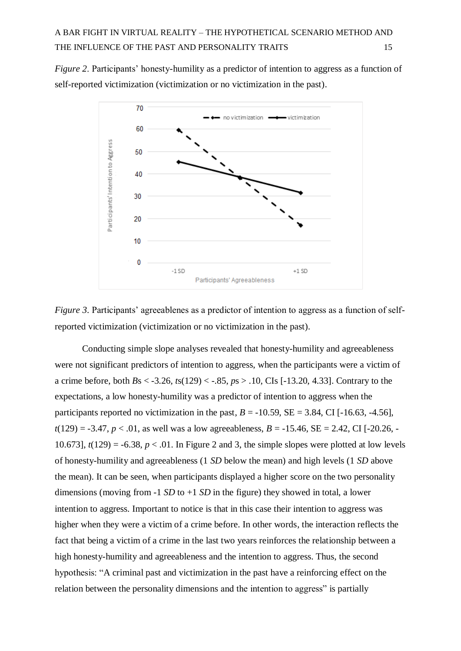*Figure 2*. Participants' honesty-humility as a predictor of intention to aggress as a function of self-reported victimization (victimization or no victimization in the past).



*Figure 3.* Participants' agreeablenes as a predictor of intention to aggress as a function of selfreported victimization (victimization or no victimization in the past).

Conducting simple slope analyses revealed that honesty-humility and agreeableness were not significant predictors of intention to aggress, when the participants were a victim of a crime before, both *B*s < -3.26, *t*s(129) < -.85, *p*s > .10, CIs [-13.20, 4.33]. Contrary to the expectations, a low honesty-humility was a predictor of intention to aggress when the participants reported no victimization in the past,  $B = -10.59$ ,  $SE = 3.84$ , CI [-16.63, -4.56],  $t(129) = -3.47$ ,  $p < 0.01$ , as well was a low agreeableness,  $B = -15.46$ ,  $SE = 2.42$ , CI [-20.26, -10.6731,  $t(129) = -6.38$ ,  $p < .01$ . In Figure 2 and 3, the simple slopes were plotted at low levels of honesty-humility and agreeableness (1 *SD* below the mean) and high levels (1 *SD* above the mean). It can be seen, when participants displayed a higher score on the two personality dimensions (moving from -1 *SD* to +1 *SD* in the figure) they showed in total, a lower intention to aggress. Important to notice is that in this case their intention to aggress was higher when they were a victim of a crime before. In other words, the interaction reflects the fact that being a victim of a crime in the last two years reinforces the relationship between a high honesty-humility and agreeableness and the intention to aggress. Thus, the second hypothesis: "A criminal past and victimization in the past have a reinforcing effect on the relation between the personality dimensions and the intention to aggress" is partially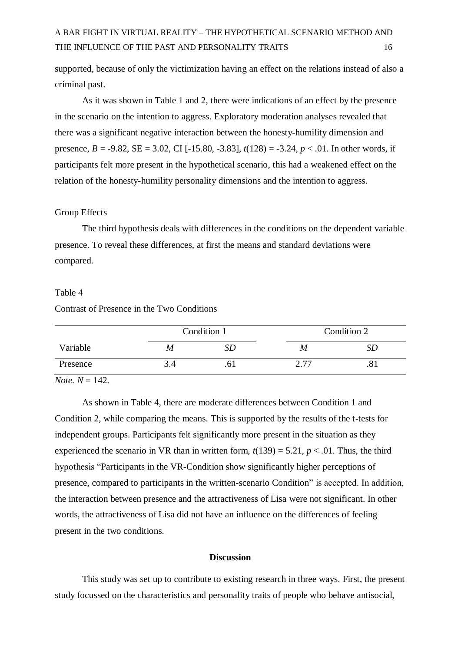supported, because of only the victimization having an effect on the relations instead of also a criminal past.

As it was shown in Table 1 and 2, there were indications of an effect by the presence in the scenario on the intention to aggress. Exploratory moderation analyses revealed that there was a significant negative interaction between the honesty-humility dimension and presence, *B* = -9.82, SE = 3.02, CI [-15.80, -3.83], *t*(128) = -3.24, *p* < .01. In other words, if participants felt more present in the hypothetical scenario, this had a weakened effect on the relation of the honesty-humility personality dimensions and the intention to aggress.

#### Group Effects

The third hypothesis deals with differences in the conditions on the dependent variable presence. To reveal these differences, at first the means and standard deviations were compared.

### Table 4

### Contrast of Presence in the Two Conditions

|          |     | Condition 1 |      | Condition 2 |  |  |
|----------|-----|-------------|------|-------------|--|--|
| Variable | M   |             | M    |             |  |  |
| Presence | 3.4 |             | רד ר |             |  |  |

*Note.*  $N = 142$ .

As shown in Table 4, there are moderate differences between Condition 1 and Condition 2, while comparing the means. This is supported by the results of the t-tests for independent groups. Participants felt significantly more present in the situation as they experienced the scenario in VR than in written form,  $t(139) = 5.21$ ,  $p < .01$ . Thus, the third hypothesis "Participants in the VR-Condition show significantly higher perceptions of presence, compared to participants in the written-scenario Condition" is accepted. In addition, the interaction between presence and the attractiveness of Lisa were not significant. In other words, the attractiveness of Lisa did not have an influence on the differences of feeling present in the two conditions.

### **Discussion**

This study was set up to contribute to existing research in three ways. First, the present study focussed on the characteristics and personality traits of people who behave antisocial,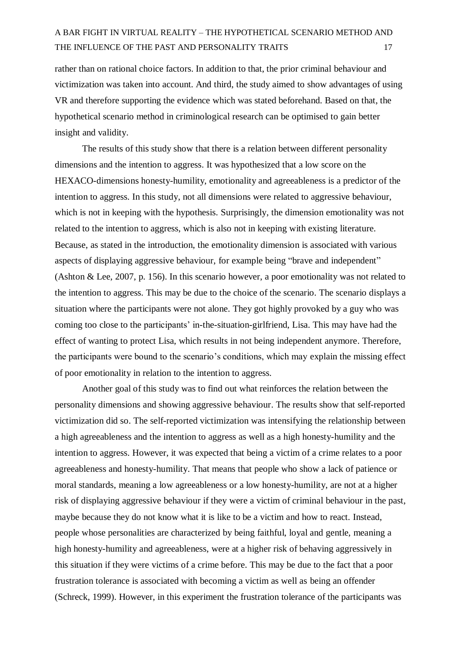rather than on rational choice factors. In addition to that, the prior criminal behaviour and victimization was taken into account. And third, the study aimed to show advantages of using VR and therefore supporting the evidence which was stated beforehand. Based on that, the hypothetical scenario method in criminological research can be optimised to gain better insight and validity.

The results of this study show that there is a relation between different personality dimensions and the intention to aggress. It was hypothesized that a low score on the HEXACO-dimensions honesty-humility, emotionality and agreeableness is a predictor of the intention to aggress. In this study, not all dimensions were related to aggressive behaviour, which is not in keeping with the hypothesis. Surprisingly, the dimension emotionality was not related to the intention to aggress, which is also not in keeping with existing literature. Because, as stated in the introduction, the emotionality dimension is associated with various aspects of displaying aggressive behaviour, for example being "brave and independent" (Ashton & Lee, 2007, p. 156). In this scenario however, a poor emotionality was not related to the intention to aggress. This may be due to the choice of the scenario. The scenario displays a situation where the participants were not alone. They got highly provoked by a guy who was coming too close to the participants' in-the-situation-girlfriend, Lisa. This may have had the effect of wanting to protect Lisa, which results in not being independent anymore. Therefore, the participants were bound to the scenario's conditions, which may explain the missing effect of poor emotionality in relation to the intention to aggress.

Another goal of this study was to find out what reinforces the relation between the personality dimensions and showing aggressive behaviour. The results show that self-reported victimization did so. The self-reported victimization was intensifying the relationship between a high agreeableness and the intention to aggress as well as a high honesty-humility and the intention to aggress. However, it was expected that being a victim of a crime relates to a poor agreeableness and honesty-humility. That means that people who show a lack of patience or moral standards, meaning a low agreeableness or a low honesty-humility, are not at a higher risk of displaying aggressive behaviour if they were a victim of criminal behaviour in the past, maybe because they do not know what it is like to be a victim and how to react. Instead, people whose personalities are characterized by being faithful, loyal and gentle, meaning a high honesty-humility and agreeableness, were at a higher risk of behaving aggressively in this situation if they were victims of a crime before. This may be due to the fact that a poor frustration tolerance is associated with becoming a victim as well as being an offender (Schreck, 1999). However, in this experiment the frustration tolerance of the participants was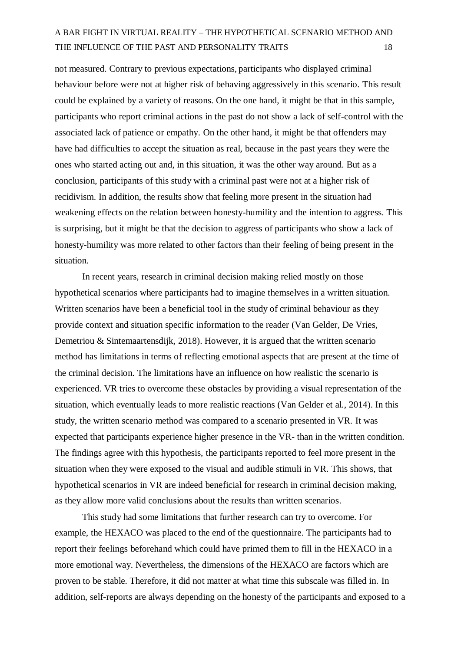not measured. Contrary to previous expectations, participants who displayed criminal behaviour before were not at higher risk of behaving aggressively in this scenario. This result could be explained by a variety of reasons. On the one hand, it might be that in this sample, participants who report criminal actions in the past do not show a lack of self-control with the associated lack of patience or empathy. On the other hand, it might be that offenders may have had difficulties to accept the situation as real, because in the past years they were the ones who started acting out and, in this situation, it was the other way around. But as a conclusion, participants of this study with a criminal past were not at a higher risk of recidivism. In addition, the results show that feeling more present in the situation had weakening effects on the relation between honesty-humility and the intention to aggress. This is surprising, but it might be that the decision to aggress of participants who show a lack of honesty-humility was more related to other factors than their feeling of being present in the situation.

In recent years, research in criminal decision making relied mostly on those hypothetical scenarios where participants had to imagine themselves in a written situation. Written scenarios have been a beneficial tool in the study of criminal behaviour as they provide context and situation specific information to the reader (Van Gelder, De Vries, Demetriou & Sintemaartensdijk, 2018). However, it is argued that the written scenario method has limitations in terms of reflecting emotional aspects that are present at the time of the criminal decision. The limitations have an influence on how realistic the scenario is experienced. VR tries to overcome these obstacles by providing a visual representation of the situation, which eventually leads to more realistic reactions (Van Gelder et al., 2014). In this study, the written scenario method was compared to a scenario presented in VR. It was expected that participants experience higher presence in the VR- than in the written condition. The findings agree with this hypothesis, the participants reported to feel more present in the situation when they were exposed to the visual and audible stimuli in VR. This shows, that hypothetical scenarios in VR are indeed beneficial for research in criminal decision making, as they allow more valid conclusions about the results than written scenarios.

This study had some limitations that further research can try to overcome. For example, the HEXACO was placed to the end of the questionnaire. The participants had to report their feelings beforehand which could have primed them to fill in the HEXACO in a more emotional way. Nevertheless, the dimensions of the HEXACO are factors which are proven to be stable. Therefore, it did not matter at what time this subscale was filled in. In addition, self-reports are always depending on the honesty of the participants and exposed to a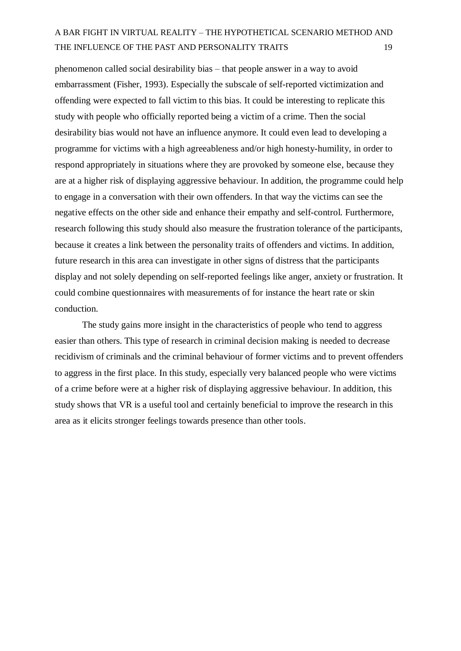phenomenon called social desirability bias – that people answer in a way to avoid embarrassment (Fisher, 1993). Especially the subscale of self-reported victimization and offending were expected to fall victim to this bias. It could be interesting to replicate this study with people who officially reported being a victim of a crime. Then the social desirability bias would not have an influence anymore. It could even lead to developing a programme for victims with a high agreeableness and/or high honesty-humility, in order to respond appropriately in situations where they are provoked by someone else, because they are at a higher risk of displaying aggressive behaviour. In addition, the programme could help to engage in a conversation with their own offenders. In that way the victims can see the negative effects on the other side and enhance their empathy and self-control. Furthermore, research following this study should also measure the frustration tolerance of the participants, because it creates a link between the personality traits of offenders and victims. In addition, future research in this area can investigate in other signs of distress that the participants display and not solely depending on self-reported feelings like anger, anxiety or frustration. It could combine questionnaires with measurements of for instance the heart rate or skin conduction.

The study gains more insight in the characteristics of people who tend to aggress easier than others. This type of research in criminal decision making is needed to decrease recidivism of criminals and the criminal behaviour of former victims and to prevent offenders to aggress in the first place. In this study, especially very balanced people who were victims of a crime before were at a higher risk of displaying aggressive behaviour. In addition, this study shows that VR is a useful tool and certainly beneficial to improve the research in this area as it elicits stronger feelings towards presence than other tools.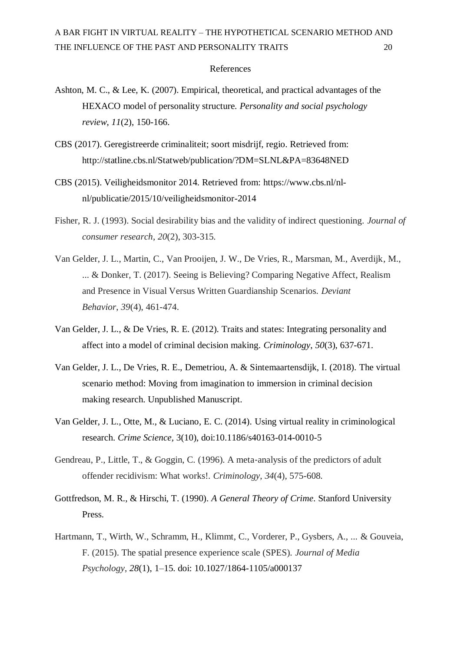#### References

- Ashton, M. C., & Lee, K. (2007). Empirical, theoretical, and practical advantages of the HEXACO model of personality structure. *Personality and social psychology review*, *11*(2), 150-166.
- CBS (2017). Geregistreerde criminaliteit; soort misdrijf, regio. Retrieved from: <http://statline.cbs.nl/Statweb/publication/?DM=SLNL&PA=83648NED>
- CBS (2015). Veiligheidsmonitor 2014. Retrieved from: [https://www.cbs.nl/nl](https://www.cbs.nl/nl-)nl/publicatie/2015/10/veiligheidsmonitor-2014
- Fisher, R. J. (1993). Social desirability bias and the validity of indirect questioning. *Journal of consumer research*, *20*(2), 303-315.
- Van Gelder, J. L., Martin, C., Van Prooijen, J. W., De Vries, R., Marsman, M., Averdijk, M., ... & Donker, T. (2017). Seeing is Believing? Comparing Negative Affect, Realism and Presence in Visual Versus Written Guardianship Scenarios. *Deviant Behavior*, *39*(4), 461-474.
- Van Gelder, J. L., & De Vries, R. E. (2012). Traits and states: Integrating personality and affect into a model of criminal decision making. *Criminology*, *50*(3), 637-671.
- Van Gelder, J. L., De Vries, R. E., Demetriou, A. & Sintemaartensdijk, I. (2018). The virtual scenario method: Moving from imagination to immersion in criminal decision making research. Unpublished Manuscript.
- Van Gelder, J. L., Otte, M., & Luciano, E. C. (2014). Using virtual reality in criminological research. *Crime Science,* 3(10), doi:10.1186/s40163-014-0010-5
- Gendreau, P., Little, T., & Goggin, C. (1996). A meta‐analysis of the predictors of adult offender recidivism: What works!. *Criminology*, *34*(4), 575-608.
- Gottfredson, M. R., & Hirschi, T. (1990). *A General Theory of Crime*. Stanford University Press.
- Hartmann, T., Wirth, W., Schramm, H., Klimmt, C., Vorderer, P., Gysbers, A., ... & Gouveia, F. (2015). The spatial presence experience scale (SPES). *Journal of Media Psychology*, *28*(1), 1–15. doi: 10.1027/1864-1105/a000137